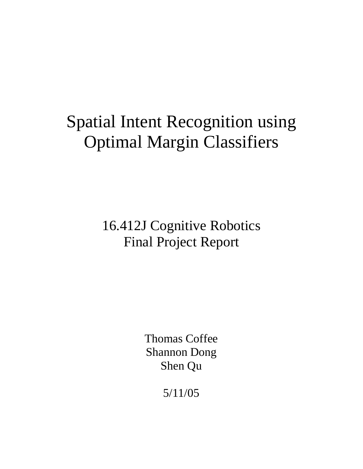# Spatial Intent Recognition using Optimal Margin Classifiers

16.412J Cognitive Robotics Final Project Report

> Thomas Coffee Shannon Dong Shen Qu

> > 5/11/05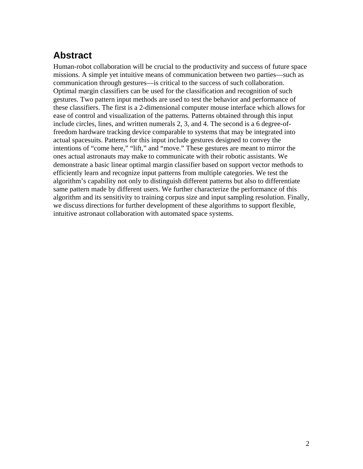# **Abstract**

Human-robot collaboration will be crucial to the productivity and success of future space missions. A simple yet intuitive means of communication between two parties—such as communication through gestures—is critical to the success of such collaboration. Optimal margin classifiers can be used for the classification and recognition of such gestures. Two pattern input methods are used to test the behavior and performance of these classifiers. The first is a 2-dimensional computer mouse interface which allows for ease of control and visualization of the patterns. Patterns obtained through this input include circles, lines, and written numerals 2, 3, and 4. The second is a 6 degree-offreedom hardware tracking device comparable to systems that may be integrated into actual spacesuits. Patterns for this input include gestures designed to convey the intentions of "come here," "lift," and "move." These gestures are meant to mirror the ones actual astronauts may make to communicate with their robotic assistants. We demonstrate a basic linear optimal margin classifier based on support vector methods to efficiently learn and recognize input patterns from multiple categories. We test the algorithm's capability not only to distinguish different patterns but also to differentiate same pattern made by different users. We further characterize the performance of this algorithm and its sensitivity to training corpus size and input sampling resolution. Finally, we discuss directions for further development of these algorithms to support flexible, intuitive astronaut collaboration with automated space systems.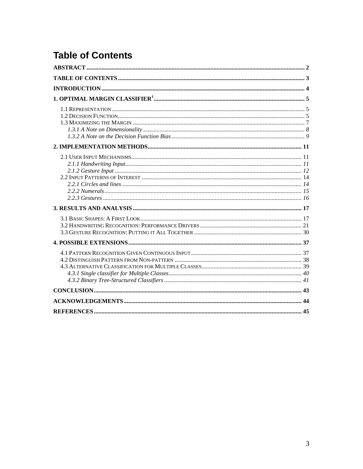# **Table of Contents**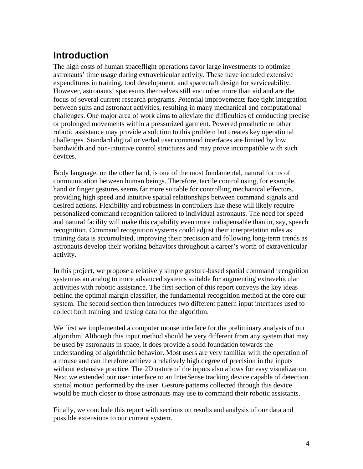# **Introduction**

The high costs of human spaceflight operations favor large investments to optimize astronauts' time usage during extravehicular activity. These have included extensive expenditures in training, tool development, and spacecraft design for serviceability. However, astronauts' spacesuits themselves still encumber more than aid and are the focus of several current research programs. Potential improvements face tight integration between suits and astronaut activities, resulting in many mechanical and computational challenges. One major area of work aims to alleviate the difficulties of conducting precise or prolonged movements within a pressurized garment. Powered prosthetic or other robotic assistance may provide a solution to this problem but creates key operational challenges. Standard digital or verbal user command interfaces are limited by low bandwidth and non-intuitive control structures and may prove incompatible with such devices.

Body language, on the other hand, is one of the most fundamental, natural forms of communication between human beings. Therefore, tactile control using, for example, hand or finger gestures seems far more suitable for controlling mechanical effectors, providing high speed and intuitive spatial relationships between command signals and desired actions. Flexibility and robustness in controllers like these will likely require personalized command recognition tailored to individual astronauts. The need for speed and natural facility will make this capability even more indispensable than in, say, speech recognition. Command recognition systems could adjust their interpretation rules as training data is accumulated, improving their precision and following long-term trends as astronauts develop their working behaviors throughout a career's worth of extravehicular activity.

In this project, we propose a relatively simple gesture-based spatial command recognition system as an analog to more advanced systems suitable for augmenting extravehicular activities with robotic assistance. The first section of this report conveys the key ideas behind the optimal margin classifier, the fundamental recognition method at the core our system. The second section then introduces two different pattern input interfaces used to collect both training and testing data for the algorithm.

We first we implemented a computer mouse interface for the preliminary analysis of our algorithm. Although this input method should be very different from any system that may be used by astronauts in space, it does provide a solid foundation towards the understanding of algorithmic behavior. Most users are very familiar with the operation of a mouse and can therefore achieve a relatively high degree of precision in the inputs without extensive practice. The 2D nature of the inputs also allows for easy visualization. Next we extended our user interface to an InterSense tracking device capable of detection spatial motion performed by the user. Gesture patterns collected through this device would be much closer to those astronauts may use to command their robotic assistants.

Finally, we conclude this report with sections on results and analysis of our data and possible extensions to our current system.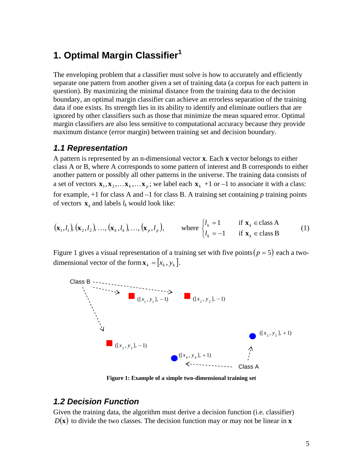### **1. Optimal Margin Classifier<sup>1</sup>**

The enveloping problem that a classifier must solve is how to accurately and efficiently separate one pattern from another given a set of training data (a corpus for each pattern in question). By maximizing the minimal distance from the training data to the decision boundary, an optimal margin classifier can achieve an errorless separation of the training data if one exists. Its strength lies in its ability to identify and eliminate outliers that are ignored by other classifiers such as those that minimize the mean squared error. Optimal margin classifiers are also less sensitive to computational accuracy because they provide maximum distance (error margin) between training set and decision boundary.

#### *1.1 Representation*

A pattern is represented by an n-dimensional vector **x**. Each **x** vector belongs to either class A or B, where A corresponds to some pattern of interest and B corresponds to either another pattern or possibly all other patterns in the universe. The training data consists of a set of vectors  $\mathbf{x}_1, \mathbf{x}_2, \dots, \mathbf{x}_k, \dots, \mathbf{x}_p$ ; we label each  $\mathbf{x}_k + 1$  or  $-1$  to associate it with a class: for example, +1 for class A and –1 for class B. A training set containing *p* training points of vectors  $\mathbf{x}_k$  and labels  $l_k$  would look like:

$$
(\mathbf{x}_1, l_1), (\mathbf{x}_2, l_2), \dots, (\mathbf{x}_k, l_k), \dots, (\mathbf{x}_p, l_p), \qquad \text{where } \begin{cases} l_k = 1 & \text{if } \mathbf{x}_k \in \text{class } A \\ l_k = -1 & \text{if } \mathbf{x}_k \in \text{class } B \end{cases} \tag{1}
$$

Figure 1 gives a visual representation of a training set with five points  $(p = 5)$  each a twodimensional vector of the form  $\mathbf{x}_{k} = [x_{k}, y_{k}]$ .



**Figure 1: Example of a simple two-dimensional training set** 

#### *1.2 Decision Function*

Given the training data, the algorithm must derive a decision function (i.e. classifier)  $D(x)$  to divide the two classes. The decision function may or may not be linear in **x**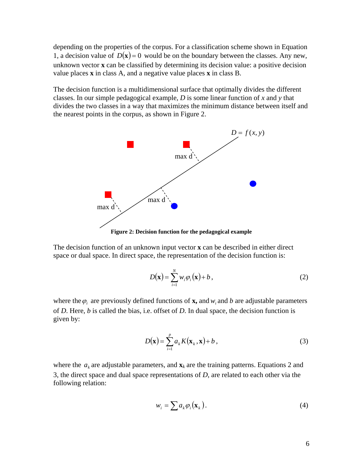depending on the properties of the corpus. For a classification scheme shown in Equation 1, a decision value of  $D(x) = 0$  would be on the boundary between the classes. Any new, unkn own vector **x** can be classified by determining its decision value: a positive decision value places **x** in class A, and a negative value places **x** in class B.

divides the two classes in a way that maximizes the minimum distance between itself and The decision function is a multidimensional surface that optimally divides the different classes. In our simple pedagogical example, *D* is some linear function of *x* and *y* that the nearest points in the corpus, as shown in Figure 2.



The decision function of an unknown input vector **x** can be described in either direct space or dual space. In direct space, the representation of the decision function is:

$$
D(\mathbf{x}) = \sum_{i=1}^{N} w_i \varphi_i(\mathbf{x}) + b,
$$
 (2)

where the  $\varphi_i$  are previously defined functions of **x**, and  $w_i$  and *b* are adjustable parameters of  $D$ . Here,  $b$  is called the bias, i.e. offset of  $D$ . In dual space, the decision function is given by:

$$
D(\mathbf{x}) = \sum_{i=1}^{p} a_k K(\mathbf{x}_k, \mathbf{x}) + b,
$$
 (3)

where the  $a_k$  are adjustable parameters, and  $\mathbf{x}_k$  are the training patterns. Equations 2 and 3, the direct space and dual space representations of  $D$ , are related to each other via the following relation:

$$
w_i = \sum a_k \varphi_i(\mathbf{x}_k). \tag{4}
$$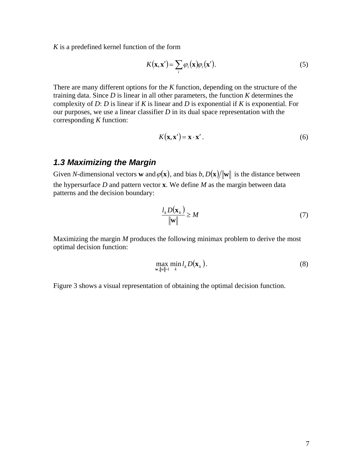*K* is a predefined kernel function of the form

$$
K(\mathbf{x}, \mathbf{x}') = \sum_{i} \varphi_i(\mathbf{x}) \varphi_i(\mathbf{x}').
$$
 (5)

There are many different options for the  $K$  function, depending on the structure of the training data. Since  $D$  is linear in all other parameters, the function  $K$  determines the complexity of *D*: *D* is linear if *K* is linear and *D* is exponential if *K* is exponential. For our purposes, we use a linear classifier *D* in its dual space representation with the corresponding *K* function:

$$
K(\mathbf{x}, \mathbf{x}') = \mathbf{x} \cdot \mathbf{x}' \,. \tag{6}
$$

#### *.3 Maximizing the Margin 1*

Given *N*-dimensional vectors **w** and  $\varphi(\mathbf{x})$ , and bias *b*,  $D(\mathbf{x})/||\mathbf{w}||$  is the distance between the hypersurface *D* and pattern vector **x**. We define *M* as the margin between data patterns and the decision boundary:

$$
\frac{l_k D(\mathbf{x}_k)}{\|\mathbf{w}\|} \ge M \tag{7}
$$

Maximizing the margin *M* produces the following minimax problem to derive the most optimal decision function:

$$
\max_{\mathbf{w}, \|\mathbf{w}\|=1} \min_{k} l_k D(\mathbf{x}_k). \tag{8}
$$

Figure 3 shows a visual representation of obtaining the optimal decision function.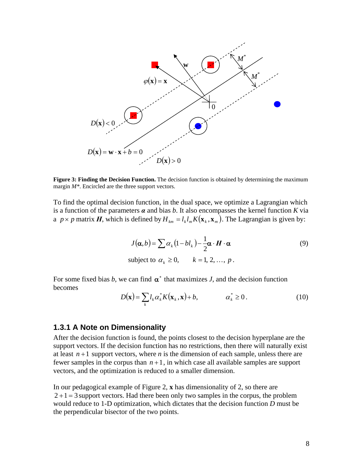

**Figure 3: Finding the Decision Function.** The decision function is obtained by determining the maximum margin *M\**. Encircled are the three support vectors.

To find the optimal decision function, in the dual space, we optimize a Lagrangian which is a function of the parameters  $\alpha$  and bias  $b$ . It also encompasses the kernel function  $K$  via a  $p \times p$  matrix *H*, which is defined by  $H_{km} = l_k l_m K(\mathbf{x}_k, \mathbf{x}_m)$ . The Lagrangian is given by:

$$
J(\alpha, b) = \sum \alpha_k (1 - bl_k) - \frac{1}{2} \alpha \cdot H \cdot \alpha
$$
  
subject to  $\alpha_k \ge 0$ ,  $k = 1, 2, ..., p$ . (9)

For some fixed bias *b*, we can find  $\alpha^*$  that maximizes *J*, and the decision function becomes

$$
D(\mathbf{x}) = \sum_{k} l_k \alpha_k^* K(\mathbf{x}_k, \mathbf{x}) + b, \qquad \alpha_k^* \ge 0.
$$
 (10)

#### **1.3.1 A Note on Dimensionality**

After the decision function is found, the points closest to the decision hyperplane are the support vectors. If the decision function has no restrictions, then there will naturally exist at least  $n+1$  support vectors, where *n* is the dimension of each sample, unless there are fewer samples in the corpus than  $n+1$ , in which case all available samples are support vectors, and the optimization is reduced to a smaller dimension.

In our pedagogical example of Figure 2, **x** has dimensionality of 2, so there are  $2 + 1 = 3$  support vectors. Had there been only two samples in the corpus, the problem would reduce to 1-D optimization, which dictates that the decision function *D* must be the perpendicular bisector of the two points.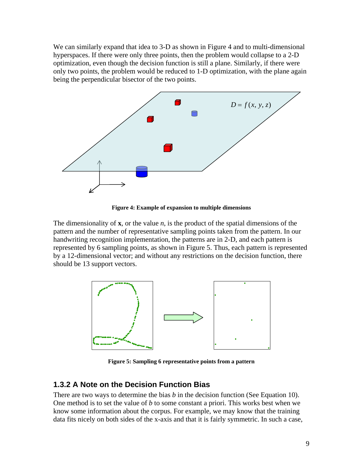We can similarly expand that idea to 3-D as shown in Figure 4 and to multi-dimensional hyperspaces. If there were only three points, then the problem would collapse to a 2-D optimization, even though the decision function is still a plane. Similarly, if there were only two points, the problem would be reduced to 1-D optimization, with the plane again being the perpendicular bisector of the two points.



**Figure 4: Example of expansion to multiple dimensions** 

The dimensionality of **x**, or the value *n*, is the product of the spatial dimensions of the pattern and the number of representative sampling points taken from the pattern. In our handwriting recognition implementation, the patterns are in 2-D, and each pattern is represented by 6 sampling points, as shown in Figure 5. Thus, each pattern is represented by a 12-dimensional vector; and without any restrictions on the decision function, there should be 13 support vectors.



**Figure 5: Sampling 6 representative points from a pattern**

#### **1.3.2 A Note on the Decision Function Bias**

There are two ways to determine the bias *b* in the decision function (See Equation 10). One method is to set the value of *b* to some constant a priori. This works best when we know some information about the corpus. For example, we may know that the training data fits nicely on both sides of the x-axis and that it is fairly symmetric. In such a case,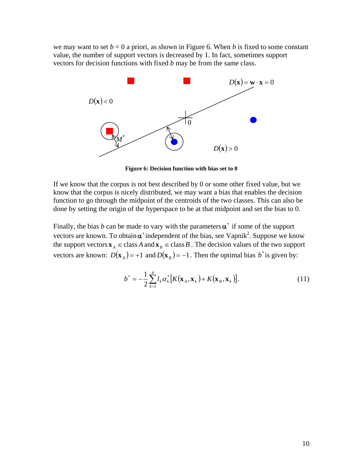we may want to set  $b = 0$  a priori, as shown in Figure 6. When *b* is fixed to some constant value, the number of support vectors is decreased by 1. In fact, sometimes support vectors for decision functions with fixed *b* may be from the same class.



**Figure 6: Decision function with bias set to 0**

If we know that the corpus is not best described by 0 or some other fixed value, but we know that the corpus is nicely distributed, we may want a bias that enables the decision function to go through the midpoint of the centroids of the two classes. This can also be done by setting the origin of the hyperspace to be at that midpoint and set the bias to 0.

Finally, the bias *b* can be made to vary with the parameters  $\alpha^*$  if some of the support vectors are known. To obtain  $\alpha^*$  independent of the bias, see Vapnik<sup>2</sup>. Suppose we know the support vectors  $\mathbf{x}_A \in \text{class } A$  and  $\mathbf{x}_B \in \text{class } B$ . The decision values of the two support vectors are known:  $D(\mathbf{x}_A) = +1$  and  $D(\mathbf{x}_B) = -1$ . Then the optimal bias  $b^*$  is given by:

$$
b^* = -\frac{1}{2} \sum_{k=1}^p l_k \alpha_k^* \big[ K(\mathbf{x}_A, \mathbf{x}_k) + K(\mathbf{x}_B, \mathbf{x}_k) \big]. \tag{11}
$$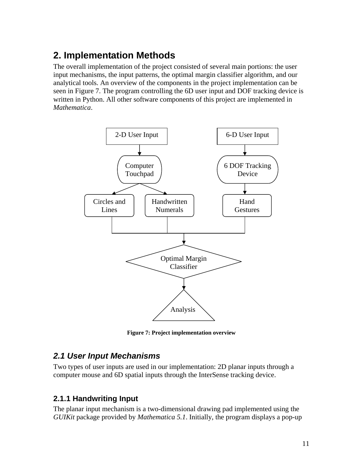# **2. Implementation Methods**

The overall implementation of the project consisted of several main portions: the user input mechanisms, the input patterns, the optimal margin classifier algorithm, and our analytical tools. An overview of the components in the project implementation can be seen in Figure 7. The program controlling the 6D user input and DOF tracking device is written in Python. All other software components of this project are implemented in *Mathematica*.



**Figure 7: Project implementation overview** 

### *2.1 User Input Mechanisms*

Two types of user inputs are used in our implementation: 2D planar inputs through a computer mouse and 6D spatial inputs through the InterSense tracking device.

#### **2.1.1 Handwriting Input**

The planar input mechanism is a two-dimensional drawing pad implemented using the *GUIKit* package provided by *Mathematica 5.1*. Initially, the program displays a pop-up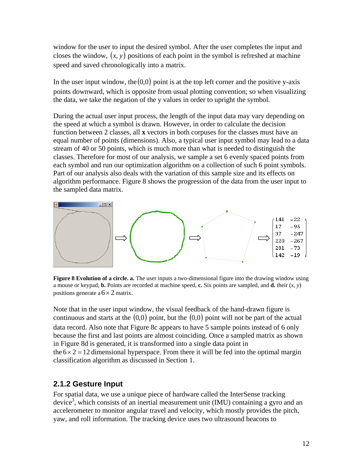window for the user to input the desired symbol. After the user completes the input and closes the window,  $(x, y)$  positions of each point in the symbol is refreshed at machine speed and saved chronologically into a matrix.

In the user input window, the  $(0,0)$  point is at the top left corner and the positive y-axis points downward, which is opposite from usual plotting convention; so when visualizing the data, we take the negation of the y values in order to upright the symbol.

During the actual user input process, the length of the input data may vary depending on the speed at which a symbol is drawn. However, in order to calculate the decision function between 2 classes, all **x** vectors in both corpuses for the classes must have an equal number of points (dimensions). Also, a typical user input symbol may lead to a data stream of 40 or 50 points, which is much more than what is needed to distinguish the classes. Therefore for most of our analysis, we sample a set 6 evenly spaced points from each symbol and run our optimization algorithm on a collection of such 6 point symbols. Part of our analysis also deals with the variation of this sample size and its effects on algorithm performance. Figure 8 shows the progression of the data from the user input to the sampled data matrix.



**Figure 8 Evolution of a circle. a.** The user inputs a two-dimensional figure into the drawing window using a mouse or keypad, **b.** Points are recorded at machine speed, **c.** Six points are sampled, and **d.** their  $(x, y)$ positions generate a  $6 \times 2$  matrix.

Note that in the user input window, the visual feedback of the hand-drawn figure is continuous and starts at the  $(0,0)$  point, but the  $(0,0)$  point will not be part of the actual data record. Also note that Figure 8c appears to have 5 sample points instead of 6 only because the first and last points are almost coinciding. Once a sampled matrix as shown in Figure 8d is generated, it is transformed into a single data point in the  $6 \times 2 = 12$  dimensional hyperspace. From there it will be fed into the optimal margin classification algorithm as discussed in Section 1.

#### **2.1.2 Gesture Input**

For spatial data, we use a unique piece of hardware called the InterSense tracking device<sup>3</sup>, which consists of an inertial measurement unit (IMU) containing a gyro and an accelerometer to monitor angular travel and velocity, which mostly provides the pitch, yaw, and roll information. The tracking device uses two ultrasound beacons to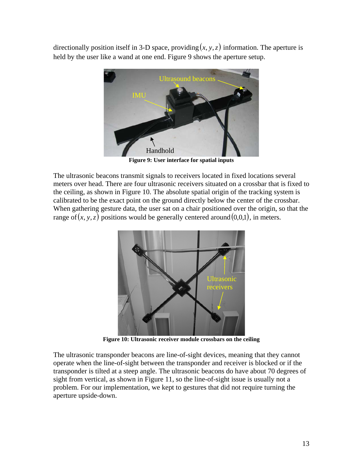directionally position itself in 3-D space, providing  $(x, y, z)$  information. The aperture is held by the user like a wand at one end. Figure 9 shows the aperture setup.



**Figure 9: User interface for spatial inputs**

The ultrasonic beacons transmit signals to receivers located in fixed locations several meters over head. There are four ultrasonic receivers situated on a crossbar that is fixed to the ceiling, as shown in Figure 10. The absolute spatial origin of the tracking system is calibrated to be the exact point on the ground directly below the center of the crossbar. When gathering gesture data, the user sat on a chair positioned over the origin, so that the range of  $(x, y, z)$  positions would be generally centered around  $(0, 0, 1)$ , in meters.



**Figure 10: Ultrasonic receiver module crossbars on the ceiling** 

The ultrasonic transponder beacons are line-of-sight devices, meaning that they cannot operate when the line-of-sight between the transponder and receiver is blocked or if the transponder is tilted at a steep angle. The ultrasonic beacons do have about 70 degrees of sight from vertical, as shown in Figure 11, so the line-of-sight issue is usually not a problem. For our implementation, we kept to gestures that did not require turning the aperture upside-down.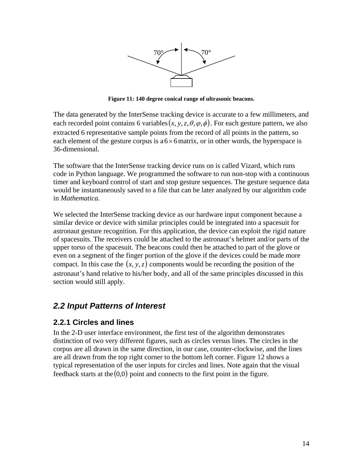

**Figure 11: 140 degree conical range of ultrasonic beacons.** 

The data generated by the InterSense tracking device is accurate to a few millimeters, and each recorded point contains 6 variables  $(x, y, z, \theta, \varphi, \phi)$ . For each gesture pattern, we also extracted 6 representative sample points from the record of all points in the pattern, so each element of the gesture corpus is  $a 6 \times 6$  matrix, or in other words, the hyperspace is 36-dimensional.

The software that the InterSense tracking device runs on is called Vizard, which runs code in Python language. We programmed the software to run non-stop with a continuous timer and keyboard control of start and stop gesture sequences. The gesture sequence data would be instantaneously saved to a file that can be later analyzed by our algorithm code in *Mathematica*.

We selected the InterSense tracking device as our hardware input component because a similar device or device with similar principles could be integrated into a spacesuit for astronaut gesture recognition. For this application, the device can exploit the rigid nature of spacesuits. The receivers could be attached to the astronaut's helmet and/or parts of the upper torso of the spacesuit. The beacons could then be attached to part of the glove or even on a segment of the finger portion of the glove if the devices could be made more compact. In this case the  $(x, y, z)$  components would be recording the position of the astronaut's hand relative to his/her body, and all of the same principles discussed in this section would still apply.

### *2.2 Input Patterns of Interest*

#### **2.2.1 Circles and lines**

feedback starts at the  $(0,0)$  point and connects to the first point in the figure. In the 2-D user interface environment, the first test of the algorithm demonstrates distinction of two very different figures, such as circles versus lines. The circles in the corpus are all drawn in the same direction, in our case, counter-clockwise, and the lines are all drawn from the top right corner to the bottom left corner. Figure 12 shows a typical representation of the user inputs for circles and lines. Note again that the visual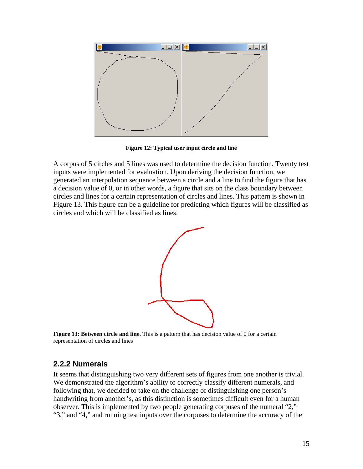

**Figure 12: Typical user input circle and line**

A corpus of 5 circles and 5 lines was used to determine the decision function. Twenty test inputs were implemented for evaluation. Upon deriving the decision function, we generated an interpolation sequence between a circle and a line to find the figure that has a decision value of 0, or in other words, a figure that sits on the class boundary between circles and lines for a certain representation of circles and lines. This pattern is shown in Figure 13. This figure can be a guideline for predicting which figures will be classified as circles and which will be classified as lines.



**Figure 13: Between circle and line.** This is a pattern that has decision value of 0 for a certain representation of circles and lines

#### **2.2.2 Numerals**

It seems that distinguishing two very different sets of figures from one another is trivial. We demonstrated the algorithm's ability to correctly classify different numerals, and following that, we decided to take on the challenge of distinguishing one person's handwriting from another's, as this distinction is sometimes difficult even for a human observer. This is implemented by two people generating corpuses of the numeral "2," "3," and "4," and running test inputs over the corpuses to determine the accuracy of the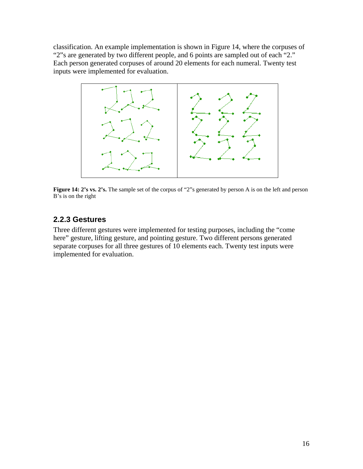classification. An example implementation is shown in Figure 14, where the corpuses of "2"s are generated by two different people, and 6 points are sampled out of each "2." Each person generated corpuses of around 20 elements for each numeral. Twenty test inputs were implemented for evaluation.



**Figure 14: 2's vs. 2's.** The sample set of the corpus of "2"s generated by person A is on the left and person B's is on the right

#### **2.2.3 Gestures**

Three different gestures were implemented for testing purposes, including the "come here" gesture, lifting gesture, and pointing gesture. Two different persons generated separate corpuses for all three gestures of 10 elements each. Twenty test inputs were implemented for evaluation.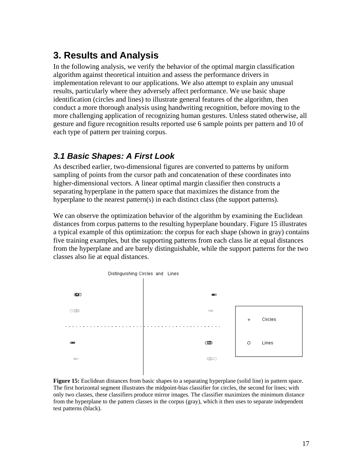### **3. Results and Analysis**

In the following analysis, we verify the behavior of the optimal margin classification algorithm against theoretical intuition and assess the performance drivers in implementation relevant to our applications. We also attempt to explain any unusual results, particularly where they adversely affect performance. We use basic shape identification (circles and lines) to illustrate general features of the algorithm, then conduct a more thorough analysis using handwriting recognition, before moving to the more challenging application of recognizing human gestures. Unless stated otherwise, all gesture and figure recognition results reported use 6 sample points per pattern and 10 of each type of pattern per training corpus.

### *3.1 Basic Shapes: A First Look*

As described earlier, two-dimensional figures are converted to patterns by uniform sampling of points from the cursor path and concatenation of these coordinates into higher-dimensional vectors. A linear optimal margin classifier then constructs a separating hyperplane in the pattern space that maximizes the distance from the hyperplane to the nearest pattern(s) in each distinct class (the support patterns).

We can observe the optimization behavior of the algorithm by examining the Euclidean distances from corpus patterns to the resulting hyperplane boundary. Figure 15 illustrates a typical example of this optimization: the corpus for each shape (shown in gray) contains five training examples, but the supporting patterns from each class lie at equal distances from the hyperplane and are barely distinguishable, while the support patterns for the two classes also lie at equal distances.



**Figure 15:** Euclidean distances from basic shapes to a separating hyperplane (solid line) in pattern space. The first horizontal segment illustrates the midpoint-bias classifier for circles, the second for lines; with only two classes, these classifiers produce mirror images. The classifier maximizes the minimum distance from the hyperplane to the pattern classes in the corpus (gray), which it then uses to separate independent test patterns (black).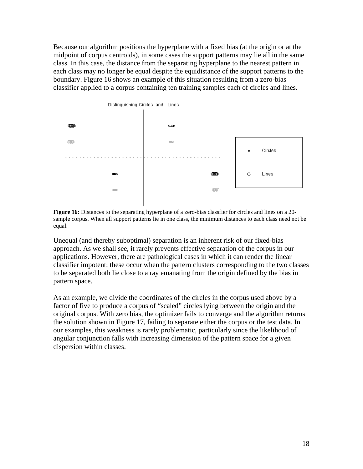Because our algorithm positions the hyperplane with a fixed bias (at the origin or at the midpoint of corpus centroids), in some cases the support patterns may lie all in the same class. In this case, the distance from the separating hyperplane to the nearest pattern in each class may no longer be equal despite the equidistance of the support patterns to the boundary. Figure 16 shows an example of this situation resulting from a zero-bias classifier applied to a corpus containing ten training samples each of circles and lines.



**Figure 16:** Distances to the separating hyperplane of a zero-bias classfier for circles and lines on a 20 sample corpus. When all support patterns lie in one class, the minimum distances to each class need not be equal.

Unequal (and thereby suboptimal) separation is an inherent risk of our fixed-bias approach. As we shall see, it rarely prevents effective separation of the corpus in our applications. However, there are pathological cases in which it can render the linear classifier impotent: these occur when the pattern clusters corresponding to the two classes to be separated both lie close to a ray emanating from the origin defined by the bias in pattern space.

As an example, we divide the coordinates of the circles in the corpus used above by a factor of five to produce a corpus of "scaled" circles lying between the origin and the original corpus. With zero bias, the optimizer fails to converge and the algorithm returns the solution shown in Figure 17, failing to separate either the corpus or the test data. In our examples, this weakness is rarely problematic, particularly since the likelihood of angular conjunction falls with increasing dimension of the pattern space for a given dispersion within classes.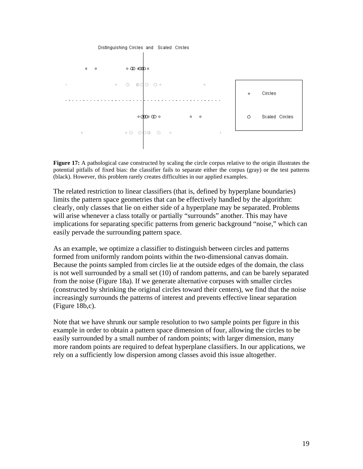

**Figure 17:** A pathological case constructed by scaling the circle corpus relative to the origin illustrates the potential pitfalls of fixed bias: the classifier fails to separate either the corpus (gray) or the test patterns (black). However, this problem rarely creates difficulties in our applied examples.

The related restriction to linear classifiers (that is, defined by hyperplane boundaries) limits the pattern space geometries that can be effectively handled by the algorithm: clearly, only classes that lie on either side of a hyperplane may be separated. Problems will arise whenever a class totally or partially "surrounds" another. This may have implications for separating specific patterns from generic background "noise," which can easily pervade the surrounding pattern space.

As an example, we optimize a classifier to distinguish between circles and patterns formed from uniformly random points within the two-dimensional canvas domain. Because the points sampled from circles lie at the outside edges of the domain, the class is not well surrounded by a small set (10) of random patterns, and can be barely separated from the noise (Figure 18a). If we generate alternative corpuses with smaller circles (constructed by shrinking the original circles toward their centers), we find that the noise increasingly surrounds the patterns of interest and prevents effective linear separation (Figure 18b,c).

Note that we have shrunk our sample resolution to two sample points per figure in this example in order to obtain a pattern space dimension of four, allowing the circles to be easily surrounded by a small number of random points; with larger dimension, many more random points are required to defeat hyperplane classifiers. In our applications, we rely on a sufficiently low dispersion among classes avoid this issue altogether.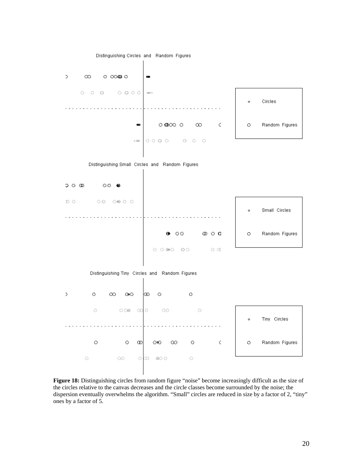

**Figure 18:** Distinguishing circles from random figure "noise" become increasingly difficult as the size of the circles relative to the canvas decreases and the circle classes become surrounded by the noise; the dispersion eventually overwhelms the algorithm. "Small" circles are reduced in size by a factor of 2, "tiny" ones by a factor of 5.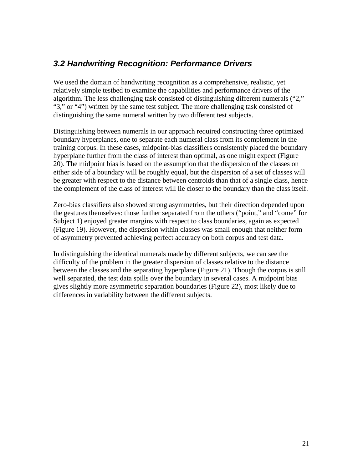### *3.2 Handwriting Recognition: Performance Drivers*

We used the domain of handwriting recognition as a comprehensive, realistic, yet relatively simple testbed to examine the capabilities and performance drivers of the algorithm. The less challenging task consisted of distinguishing different numerals ("2," "3," or "4") written by the same test subject. The more challenging task consisted of distinguishing the same numeral written by two different test subjects.

Distinguishing between numerals in our approach required constructing three optimized boundary hyperplanes, one to separate each numeral class from its complement in the training corpus. In these cases, midpoint-bias classifiers consistently placed the boundary hyperplane further from the class of interest than optimal, as one might expect (Figure 20). The midpoint bias is based on the assumption that the dispersion of the classes on either side of a boundary will be roughly equal, but the dispersion of a set of classes will be greater with respect to the distance between centroids than that of a single class, hence the complement of the class of interest will lie closer to the boundary than the class itself.

Zero-bias classifiers also showed strong asymmetries, but their direction depended upon the gestures themselves: those further separated from the others ("point," and "come" for Subject 1) enjoyed greater margins with respect to class boundaries, again as expected (Figure 19). However, the dispersion within classes was small enough that neither form of asymmetry prevented achieving perfect accuracy on both corpus and test data.

In distinguishing the identical numerals made by different subjects, we can see the difficulty of the problem in the greater dispersion of classes relative to the distance between the classes and the separating hyperplane (Figure 21). Though the corpus is still well separated, the test data spills over the boundary in several cases. A midpoint bias gives slightly more asymmetric separation boundaries (Figure 22), most likely due to differences in variability between the different subjects.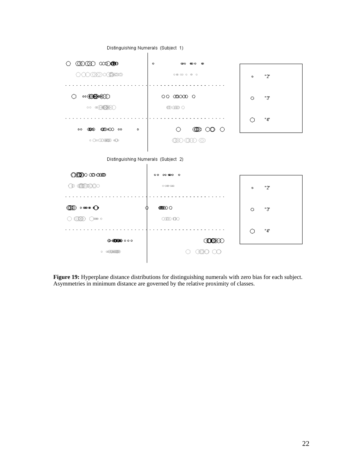

**Figure 19:** Hyperplane distance distributions for distinguishing numerals with zero bias for each subject. Asymmetries in minimum distance are governed by the relative proximity of classes.

Distinguishing Numerals (Subject 1)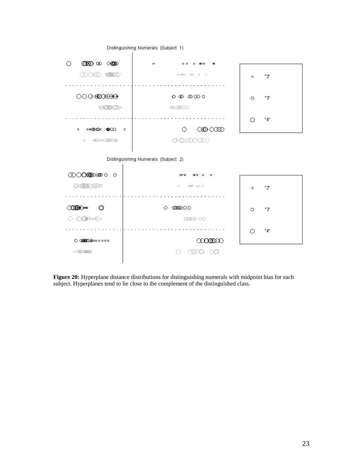

Distinguishing Numerals (Subject 1)

**Figure 20:** Hyperplane distance distributions for distinguishing numerals with midpoint bias for each subject. Hyperplanes tend to lie close to the complement of the distinguished class.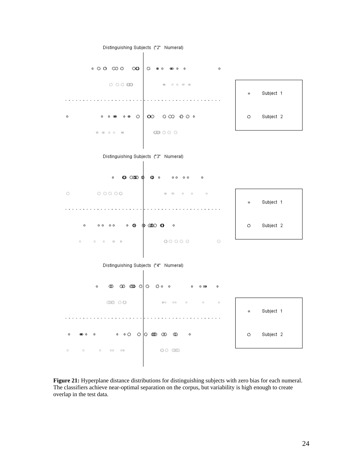

**Figure 21:** Hyperplane distance distributions for distinguishing subjects with zero bias for each numeral. The classifiers achieve near-optimal separation on the corpus, but variability is high enough to create overlap in the test data.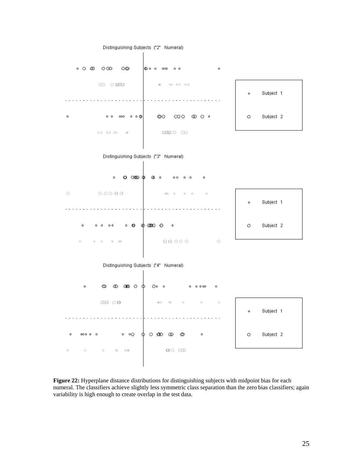

**Figure 22:** Hyperplane distance distributions for distinguishing subjects with midpoint bias for each numeral. The classifiers achieve slightly less symmetric class separation than the zero bias classifiers; again variability is high enough to create overlap in the test data.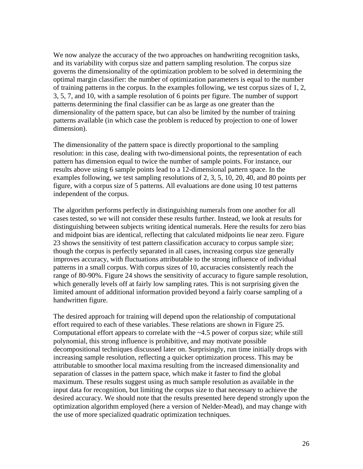We now analyze the accuracy of the two approaches on handwriting recognition tasks, and its variability with corpus size and pattern sampling resolution. The corpus size governs the dimensionality of the optimization problem to be solved in determining the optimal margin classifier: the number of optimization parameters is equal to the number of training patterns in the corpus. In the examples following, we test corpus sizes of 1, 2, 3, 5, 7, and 10, with a sample resolution of 6 points per figure. The number of support patterns determining the final classifier can be as large as one greater than the dimensionality of the pattern space, but can also be limited by the number of training patterns available (in which case the problem is reduced by projection to one of lower dimension).

The dimensionality of the pattern space is directly proportional to the sampling resolution: in this case, dealing with two-dimensional points, the representation of each pattern has dimension equal to twice the number of sample points. For instance, our results above using 6 sample points lead to a 12-dimensional pattern space. In the examples following, we test sampling resolutions of 2, 3, 5, 10, 20, 40, and 80 points per figure, with a corpus size of 5 patterns. All evaluations are done using 10 test patterns independent of the corpus.

The algorithm performs perfectly in distinguishing numerals from one another for all cases tested, so we will not consider these results further. Instead, we look at results for distinguishing between subjects writing identical numerals. Here the results for zero bias and midpoint bias are identical, reflecting that calculated midpoints lie near zero. Figure 23 shows the sensitivity of test pattern classification accuracy to corpus sample size; though the corpus is perfectly separated in all cases, increasing corpus size generally improves accuracy, with fluctuations attributable to the strong influence of individual patterns in a small corpus. With corpus sizes of 10, accuracies consistently reach the range of 80-90%. Figure 24 shows the sensitivity of accuracy to figure sample resolution, which generally levels off at fairly low sampling rates. This is not surprising given the limited amount of additional information provided beyond a fairly coarse sampling of a handwritten figure.

The desired approach for training will depend upon the relationship of computational effort required to each of these variables. These relations are shown in Figure 25. Computational effort appears to correlate with the ~4.5 power of corpus size; while still polynomial, this strong influence is prohibitive, and may motivate possible decompositional techniques discussed later on. Surprisingly, run time initially drops with increasing sample resolution, reflecting a quicker optimization process. This may be attributable to smoother local maxima resulting from the increased dimensionality and separation of classes in the pattern space, which make it faster to find the global maximum. These results suggest using as much sample resolution as available in the input data for recognition, but limiting the corpus size to that necessary to achieve the desired accuracy. We should note that the results presented here depend strongly upon the optimization algorithm employed (here a version of Nelder-Mead), and may change with the use of more specialized quadratic optimization techniques.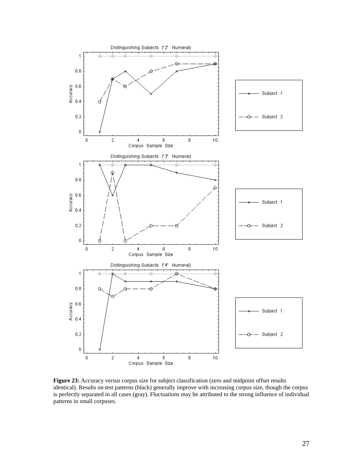

**Figure 23:** Accuracy versus corpus size for subject classification (zero and midpoint offset results identical). Results on test patterns (black) generally improve with increasing corpus size, though the corpus is perfectly separated in all cases (gray). Fluctuations may be attributed to the strong influence of individual patterns in small corpuses.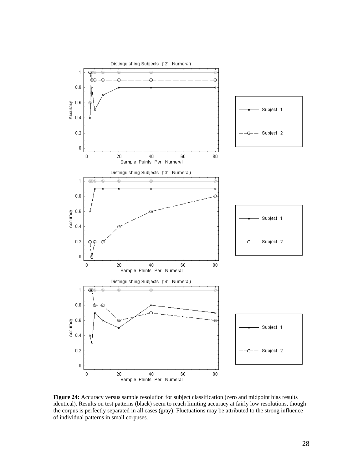

Figure 24: Accuracy versus sample resolution for subject classification (zero and midpoint bias results identical). Results on test patterns (black) seem to reach limiting accuracy at fairly low resolutions, though the corpus is perfectly separated in all cases (gray). Fluctuations may be attributed to the strong influence of individual patterns in small corpuses.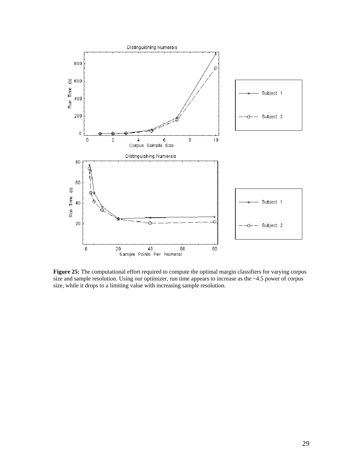

**Figure 25:** The computational effort required to compute the optimal margin classifiers for varying corpus size and sample resolution. Using our optimizer, run time appears to increase as the ~4.5 power of corpus size, while it drops to a limiting value with increasing sample resolution.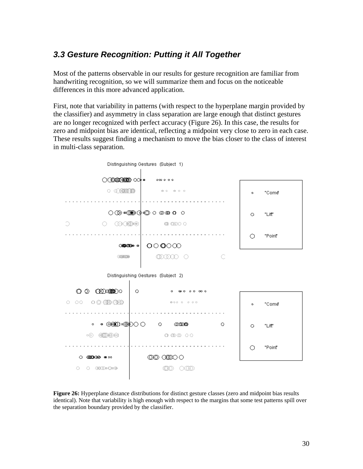### *3.3 Gesture Recognition: Putting it All Together*

Most of the patterns observable in our results for gesture recognition are familiar from handwriting recognition, so we will summarize them and focus on the noticeable differences in this more advanced application.

First, note that variability in patterns (with respect to the hyperplane margin provided by the classifier) and asymmetry in class separation are large enough that distinct gestures are no longer recognized with perfect accuracy (Figure 26). In this case, the results for zero and midpoint bias are identical, reflecting a midpoint very close to zero in each case. These results suggest finding a mechanism to move the bias closer to the class of interest in multi-class separation.



**Figure 26:** Hyperplane distance distributions for distinct gesture classes (zero and midpoint bias results identical). Note that variability is high enough with respect to the margins that some test patterns spill over the separation boundary provided by the classifier.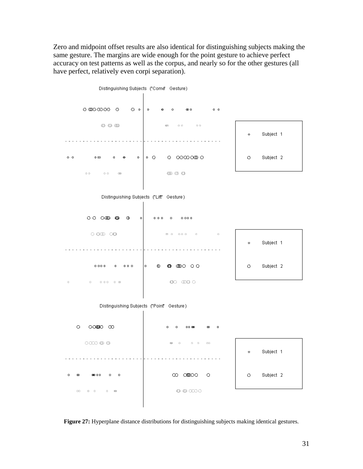Zero and midpoint offset results are also identical for distinguishing subjects making the same gesture. The margins are wide enough for the point gesture to achieve perfect accuracy on test patterns as well as the corpus, and nearly so for the other gestures (all have perfect, relatively even corpi separation).



**Figure 27:** Hyperplane distance distributions for distinguishing subjects making identical gestures.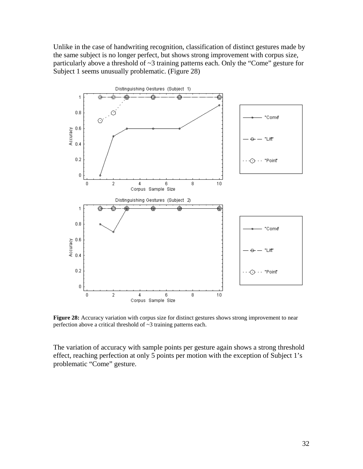Unlike in the case of handwriting recognition, classification of distinct gestures made by the same subject is no longer perfect, but shows strong improvement with corpus size, particularly above a threshold of ~3 training patterns each. Only the "Come" gesture for Subject 1 seems unusually problematic. (Figure 28)



**Figure 28:** Accuracy variation with corpus size for distinct gestures shows strong improvement to near perfection above a critical threshold of ~3 training patterns each.

The variation of accuracy with sample points per gesture again shows a strong threshold effect, reaching perfection at only 5 points per motion with the exception of Subject 1's problematic "Come" gesture.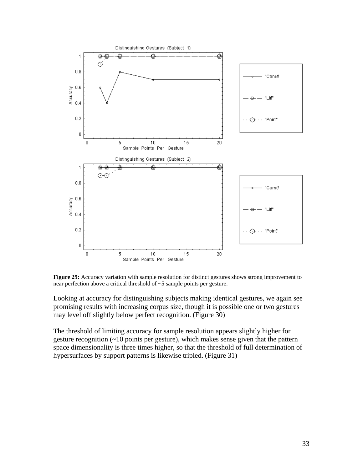

**Figure 29:** Accuracy variation with sample resolution for distinct gestures shows strong improvement to near perfection above a critical threshold of ~5 sample points per gesture.

Looking at accuracy for distinguishing subjects making identical gestures, we again see promising results with increasing corpus size, though it is possible one or two gestures may level off slightly below perfect recognition. (Figure 30)

The threshold of limiting accuracy for sample resolution appears slightly higher for gesture recognition (~10 points per gesture), which makes sense given that the pattern space dimensionality is three times higher, so that the threshold of full determination of hypersurfaces by support patterns is likewise tripled. (Figure 31)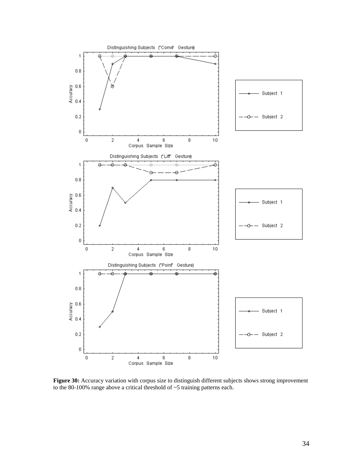

**Figure 30:** Accuracy variation with corpus size to distinguish different subjects shows strong improvement to the 80-100% range above a critical threshold of ~5 training patterns each.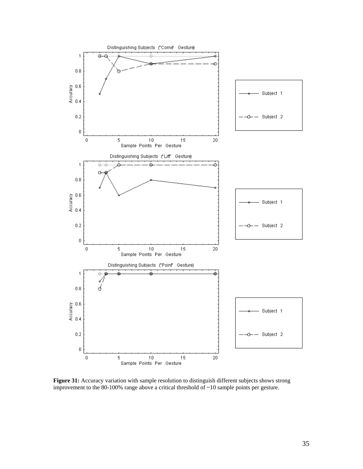

**Figure 31:** Accuracy variation with sample resolution to distinguish different subjects shows strong improvement to the 80-100% range above a critical threshold of ~10 sample points per gesture.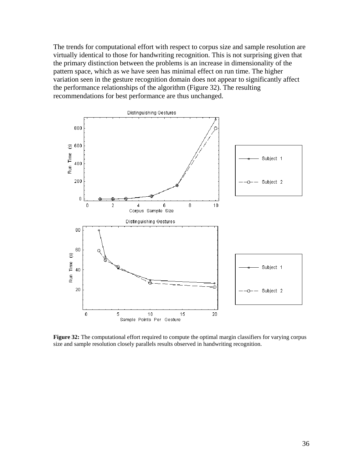The trends for computational effort with respect to corpus size and sample resolution are virtually identical to those for handwriting recognition. This is not surprising given that the primary distinction between the problems is an increase in dimensionality of the pattern space, which as we have seen has minimal effect on run time. The higher variation seen in the gesture recognition domain does not appear to significantly affect the performance relationships of the algorithm (Figure 32). The resulting recommendations for best performance are thus unchanged.



**Figure 32:** The computational effort required to compute the optimal margin classifiers for varying corpus size and sample resolution closely parallels results observed in handwriting recognition.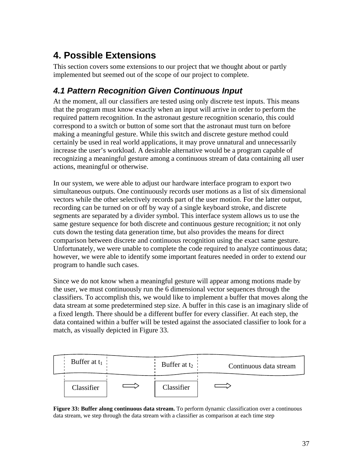# **4. Possible Extensions**

This section covers some extensions to our project that we thought about or partly implemented but seemed out of the scope of our project to complete.

### *4.1 Pattern Recognition Given Continuous Input*

At the moment, all our classifiers are tested using only discrete test inputs. This means that the program must know exactly when an input will arrive in order to perform the required pattern recognition. In the astronaut gesture recognition scenario, this could correspond to a switch or button of some sort that the astronaut must turn on before making a meaningful gesture. While this switch and discrete gesture method could certainly be used in real world applications, it may prove unnatural and unnecessarily increase the user's workload. A desirable alternative would be a program capable of recognizing a meaningful gesture among a continuous stream of data containing all user actions, meaningful or otherwise.

In our system, we were able to adjust our hardware interface program to export two simultaneous outputs. One continuously records user motions as a list of six dimensional vectors while the other selectively records part of the user motion. For the latter output, recording can be turned on or off by way of a single keyboard stroke, and discrete segments are separated by a divider symbol. This interface system allows us to use the same gesture sequence for both discrete and continuous gesture recognition; it not only cuts down the testing data generation time, but also provides the means for direct comparison between discrete and continuous recognition using the exact same gesture. Unfortunately, we were unable to complete the code required to analyze continuous data; however, we were able to identify some important features needed in order to extend our program to handle such cases.

Since we do not know when a meaningful gesture will appear among motions made by the user, we must continuously run the 6 dimensional vector sequences through the classifiers. To accomplish this, we would like to implement a buffer that moves along the data stream at some predetermined step size. A buffer in this case is an imaginary slide of a fixed length. There should be a different buffer for every classifier. At each step, the data contained within a buffer will be tested against the associated classifier to look for a match, as visually depicted in Figure 33.



**Figure 33: Buffer along continuous data stream.** To perform dynamic classification over a continuous data stream, we step through the data stream with a classifier as comparison at each time step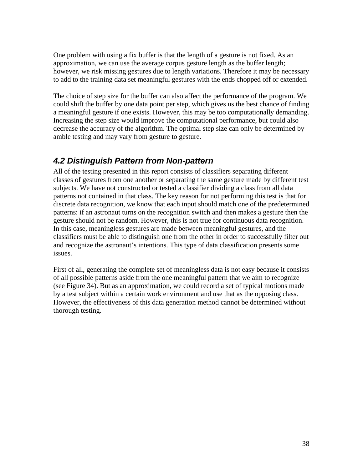One problem with using a fix buffer is that the length of a gesture is not fixed. As an approximation, we can use the average corpus gesture length as the buffer length; however, we risk missing gestures due to length variations. Therefore it may be necessary to add to the training data set meaningful gestures with the ends chopped off or extended.

The choice of step size for the buffer can also affect the performance of the program. We could shift the buffer by one data point per step, which gives us the best chance of finding a meaningful gesture if one exists. However, this may be too computationally demanding. Increasing the step size would improve the computational performance, but could also decrease the accuracy of the algorithm. The optimal step size can only be determined by amble testing and may vary from gesture to gesture.

### *4.2 Distinguish Pattern from Non-pattern*

All of the testing presented in this report consists of classifiers separating different classes of gestures from one another or separating the same gesture made by different test subjects. We have not constructed or tested a classifier dividing a class from all data patterns not contained in that class. The key reason for not performing this test is that for discrete data recognition, we know that each input should match one of the predetermined patterns: if an astronaut turns on the recognition switch and then makes a gesture then the gesture should not be random. However, this is not true for continuous data recognition. In this case, meaningless gestures are made between meaningful gestures, and the classifiers must be able to distinguish one from the other in order to successfully filter out and recognize the astronaut's intentions. This type of data classification presents some issues.

First of all, generating the complete set of meaningless data is not easy because it consists of all possible patterns aside from the one meaningful pattern that we aim to recognize (see Figure 34). But as an approximation, we could record a set of typical motions made by a test subject within a certain work environment and use that as the opposing class. However, the effectiveness of this data generation method cannot be determined without thorough testing.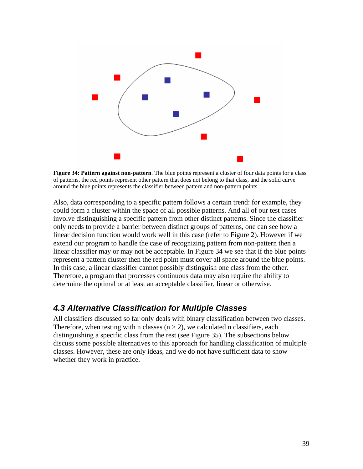

**Figure 34: Pattern against non-pattern**. The blue points represent a cluster of four data points for a class of patterns, the red points represent other pattern that does not belong to that class, and the solid curve around the blue points represents the classifier between pattern and non-pattern points.

Also, data corresponding to a specific pattern follows a certain trend: for example, they could form a cluster within the space of all possible patterns. And all of our test cases involve distinguishing a specific pattern from other distinct patterns. Since the classifier only needs to provide a barrier between distinct groups of patterns, one can see how a linear decision function would work well in this case (refer to Figure 2). However if we extend our program to handle the case of recognizing pattern from non-pattern then a linear classifier may or may not be acceptable. In Figure 34 we see that if the blue points represent a pattern cluster then the red point must cover all space around the blue points. In this case, a linear classifier cannot possibly distinguish one class from the other. Therefore, a program that processes continuous data may also require the ability to determine the optimal or at least an acceptable classifier, linear or otherwise.

#### *4.3 Alternative Classification for Multiple Classes*

All classifiers discussed so far only deals with binary classification between two classes. Therefore, when testing with n classes  $(n > 2)$ , we calculated n classifiers, each distinguishing a specific class from the rest (see Figure 35). The subsections below discuss some possible alternatives to this approach for handling classification of multiple classes. However, these are only ideas, and we do not have sufficient data to show whether they work in practice.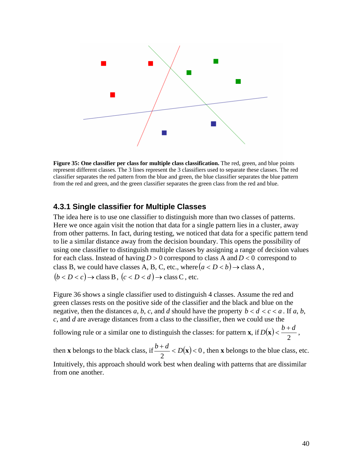

**Figure 35: One classifier per class for multiple class classification.** The red, green, and blue points represent different classes. The 3 lines represent the 3 classifiers used to separate these classes. The red classifier separates the red pattern from the blue and green, the blue classifier separates the blue pattern from the red and green, and the green classifier separates the green class from the red and blue.

#### **4.3.1 Single classifier for Multiple Classes**

The idea here is to use one classifier to distinguish more than two classes of patterns. Here we once again visit the notion that data for a single pattern lies in a cluster, away from other patterns. In fact, during testing, we noticed that data for a specific pattern tend to lie a similar distance away from the decision boundary. This opens the possibility of using one classifier to distinguish multiple classes by assigning a range of decision values for each class. Instead of having  $D > 0$  correspond to class A and  $D < 0$  correspond to class B, we could have classes A, B, C, etc., where  $(a < D < b) \rightarrow$  class A,  $(b < D < c) \rightarrow$  class B,  $(c < D < d) \rightarrow$  class C, etc.

Figure 36 shows a single classifier used to distinguish 4 classes. Assume the red and green classes rests on the positive side of the classifier and the black and blue on the negative, then the distances *a*, *b*, *c*, and *d* should have the property  $b < d < c < a$ . If *a*, *b*, *c*, and *d* are average distances from a class to the classifier, then we could use the

following rule or a similar one to distinguish the classes: for pattern **x**, if  $D(\mathbf{x}) < \frac{b+d}{2}$ ,

then **x** belongs to the black class, if  $\frac{b-a}{2} < D(x) < 0$ 2  $\frac{b+d}{2}$  < *D*(**x**) < 0, then **x** belongs to the blue class, etc. Intuitively, this approach should work best when dealing with patterns that are dissimilar from one another.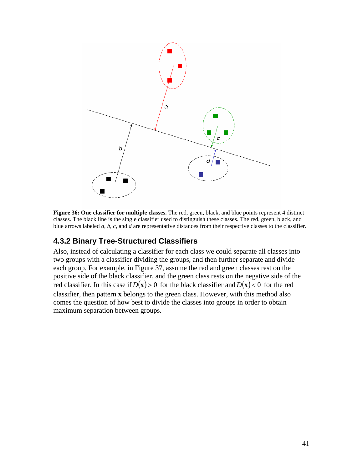

**Figure 36: One classifier for multiple classes.** The red, green, black, and blue points represent 4 distinct classes. The black line is the single classifier used to distinguish these classes. The red, green, black, and blue arrows labeled *a*, *b*, *c*, and *d* are representative distances from their respective classes to the classifier.

#### **4.3.2 Binary Tree-Structured Classifiers**

Also, instead of calculating a classifier for each class we could separate all classes into two groups with a classifier dividing the groups, and then further separate and divide each group. For example, in Figure 37, assume the red and green classes rest on the positive side of the black classifier, and the green class rests on the negative side of the red classifier. In this case if  $D(x) > 0$  for the black classifier and  $D(x) < 0$  for the red classifier, then pattern **x** belongs to the green class. However, with this method also comes the question of how best to divide the classes into groups in order to obtain maximum separation between groups.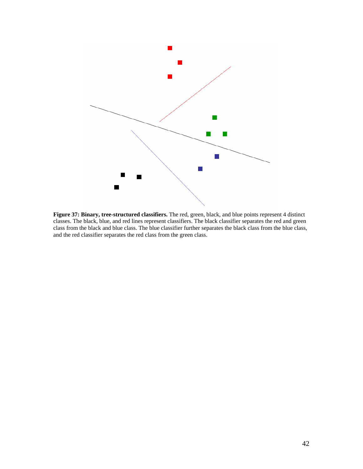

**Figure 37: Binary, tree-structured classifiers.** The red, green, black, and blue points represent 4 distinct classes. The black, blue, and red lines represent classifiers. The black classifier separates the red and green class from the black and blue class. The blue classifier further separates the black class from the blue class, and the red classifier separates the red class from the green class.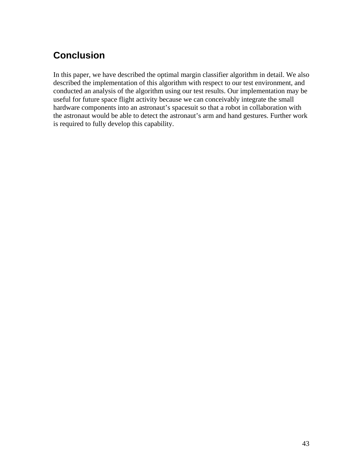# **Conclusion**

In this paper, we have described the optimal margin classifier algorithm in detail. We also described the implementation of this algorithm with respect to our test environment, and conducted an analysis of the algorithm using our test results. Our implementation may be useful for future space flight activity because we can conceivably integrate the small hardware components into an astronaut's spacesuit so that a robot in collaboration with the astronaut would be able to detect the astronaut's arm and hand gestures. Further work is required to fully develop this capability.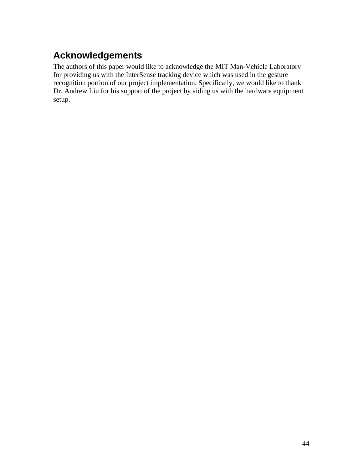# **Acknowledgements**

The authors of this paper would like to acknowledge the MIT Man-Vehicle Laboratory for providing us with the InterSense tracking device which was used in the gesture recognition portion of our project implementation. Specifically, we would like to thank Dr. Andrew Liu for his support of the project by aiding us with the hardware equipment setup.